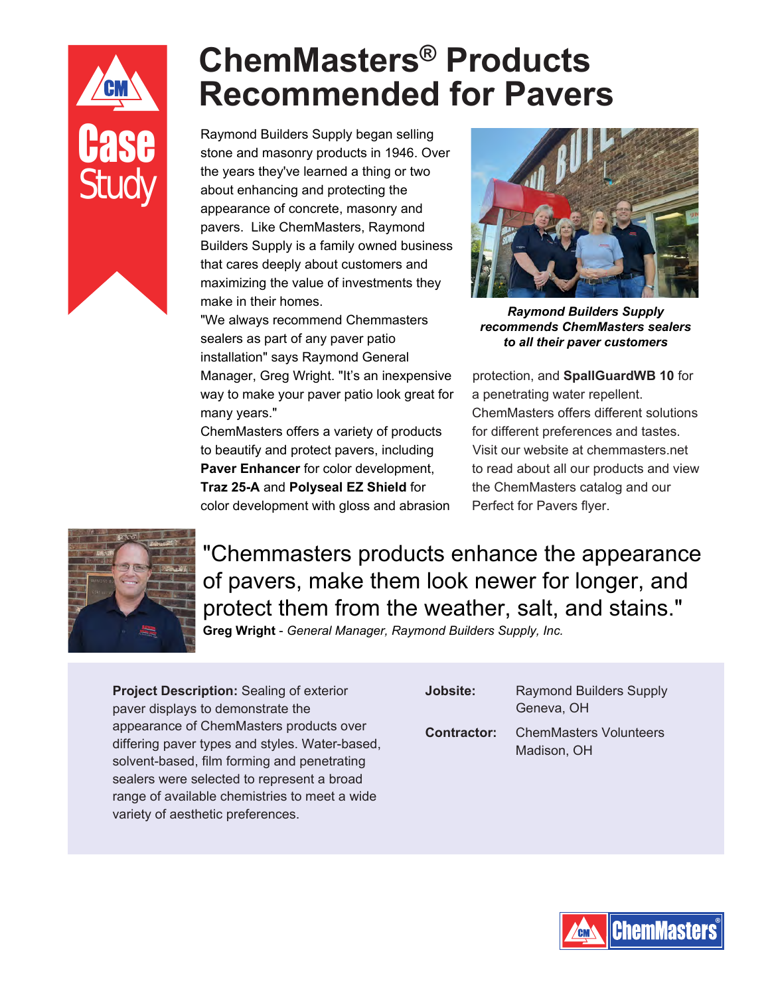## Study

## **ChemMasters® Products Recommended for Pavers**

Raymond Builders Supply began selling<br>stone and masonry products in 1946. Over stone and masonry products in 1946. Over the years they've learned a thing or two about enhancing and protecting the appearance of concrete, masonry and pavers. Like ChemMasters, Raymond Builders Supply is a family owned business that cares deeply about customers and maximizing the value of investments they make in their homes.

> "We always recommend Chemmasters sealers as part of any paver patio installation" says Raymond General Manager, Greg Wright. "It's an inexpensive way to make your paver patio look great for many years."

ChemMasters offers a variety of products to beautify and protect pavers, including **Paver Enhancer** for color development, **Traz 25-A** and **Polyseal EZ Shield** for color development with gloss and abrasion



*Raymond Builders Supply recommends ChemMasters sealers to all their paver customers*

protection, and **SpallGuardWB 10** for a penetrating water repellent. ChemMasters offers different solutions for different preferences and tastes. Visit our website at chemmasters.net to read about all our products and view the ChemMasters catalog and our Perfect for Pavers flyer.



"Chemmasters products enhance the appearance of pavers, make them look newer for longer, and protect them from the weather, salt, and stains."

**Greg Wright** - *General Manager, Raymond Builders Supply, Inc.*

**Project Description:** Sealing of exterior paver displays to demonstrate the appearance of ChemMasters products over differing paver types and styles. Water-based, solvent-based, film forming and penetrating sealers were selected to represent a broad range of available chemistries to meet a wide variety of aesthetic preferences.

| Jobsite:           | <b>Raymond Builders Supply</b><br>Geneva, OH |
|--------------------|----------------------------------------------|
| <b>Contractor:</b> | ChemMasters Volunteers<br>Madison, OH        |